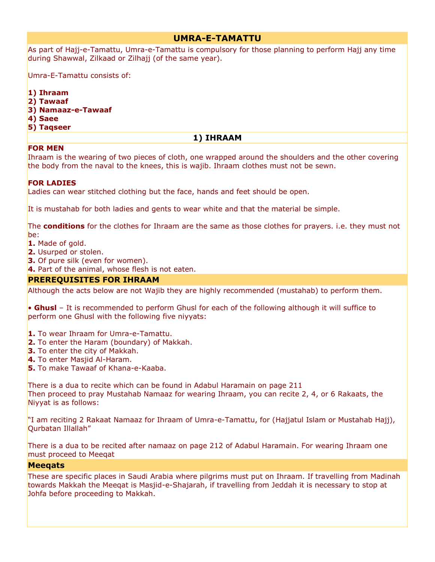## **UMRA-E-TAMATTU**

As part of Hajj-e-Tamattu, Umra-e-Tamattu is compulsory for those planning to perform Hajj any time during Shawwal, Zilkaad or Zilhajj (of the same year).

Umra-E-Tamattu consists of:

- **1) Ihraam**
- **2) Tawaaf**
- **3) Namaaz-e-Tawaaf**
- **4) Saee**
- **5) Taqseer**

## **1) IHRAAM**

## **FOR MEN**

Ihraam is the wearing of two pieces of cloth, one wrapped around the shoulders and the other covering the body from the naval to the knees, this is wajib. Ihraam clothes must not be sewn.

## **FOR LADIES**

Ladies can wear stitched clothing but the face, hands and feet should be open.

It is mustahab for both ladies and gents to wear white and that the material be simple.

The **conditions** for the clothes for Ihraam are the same as those clothes for prayers. i.e. they must not be:

**1.** Made of gold.

- **2.** Usurped or stolen.
- **3.** Of pure silk (even for women).
- **4.** Part of the animal, whose flesh is not eaten.

## **PREREQUISITES FOR IHRAAM**

Although the acts below are not Wajib they are highly recommended (mustahab) to perform them.

• **Ghusl** – It is recommended to perform Ghusl for each of the following although it will suffice to perform one Ghusl with the following five niyyats:

- **1.** To wear Ihraam for Umra-e-Tamattu.
- **2.** To enter the Haram (boundary) of Makkah.
- **3.** To enter the city of Makkah.
- **4.** To enter Masjid Al-Haram.
- **5.** To make Tawaaf of Khana-e-Kaaba.

There is a dua to recite which can be found in Adabul Haramain on page 211 Then proceed to pray Mustahab Namaaz for wearing Ihraam, you can recite 2, 4, or 6 Rakaats, the Niyyat is as follows:

"I am reciting 2 Rakaat Namaaz for Ihraam of Umra-e-Tamattu, for (Hajjatul Islam or Mustahab Hajj), Qurbatan Illallah"

There is a dua to be recited after namaaz on page 212 of Adabul Haramain. For wearing Ihraam one must proceed to Meeqat

## **Meeqats**

These are specific places in Saudi Arabia where pilgrims must put on Ihraam. If travelling from Madinah towards Makkah the Meeqat is Masjid-e-Shajarah, if travelling from Jeddah it is necessary to stop at Johfa before proceeding to Makkah.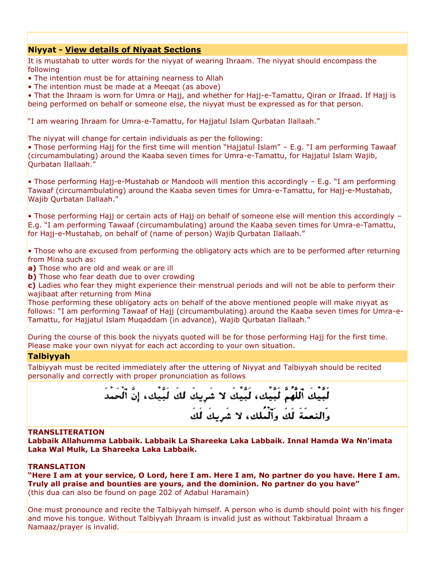## **Niyyat - [View details of Niyaat Sections](http://www.naqvibrothers.net/niyyat.htm)**

It is mustahab to utter words for the niyyat of wearing Ihraam. The niyyat should encompass the following

• The intention must be for attaining nearness to Allah

• The intention must be made at a Meeqat (as above)

• That the Ihraam is worn for Umra or Hajj, and whether for Hajj-e-Tamattu, Qiran or Ifraad. If Hajj is being performed on behalf or someone else, the niyyat must be expressed as for that person.

"I am wearing Ihraam for Umra-e-Tamattu, for Hajjatul Islam Qurbatan Ilallaah."

The niyyat will change for certain individuals as per the following:

• Those performing Hajj for the first time will mention "Hajjatul Islam" – E.g. "I am performing Tawaaf (circumambulating) around the Kaaba seven times for Umra-e-Tamattu, for Hajjatul Islam Wajib, Qurbatan Ilallaah."

• Those performing Hajj-e-Mustahab or Mandoob will mention this accordingly – E.g. "I am performing Tawaaf (circumambulating) around the Kaaba seven times for Umra-e-Tamattu, for Hajj-e-Mustahab, Wajib Qurbatan Ilallaah."

• Those performing Hajj or certain acts of Hajj on behalf of someone else will mention this accordingly – E.g. "I am performing Tawaaf (circumambulating) around the Kaaba seven times for Umra-e-Tamattu, for Hajj-e-Mustahab, on behalf of (name of person) Wajib Qurbatan Ilallaah."

• Those who are excused from performing the obligatory acts which are to be performed after returning from Mina such as:

**a)** Those who are old and weak or are ill

**b)** Those who fear death due to over crowding

**c)** Ladies who fear they might experience their menstrual periods and will not be able to perform their wajibaat after returning from Mina

Those performing these obligatory acts on behalf of the above mentioned people will make niyyat as follows: "I am performing Tawaaf of Hajj (circumambulating) around the Kaaba seven times for Umra-e-Tamattu, for Hajjatul Islam Muqaddam (in advance), Wajib Qurbatan Ilallaah."

During the course of this book the niyyats quoted will be for those performing Hajj for the first time. Please make your own niyyat for each act according to your own situation.

#### **Talbiyyah**

Talbiyyah must be recited immediately after the uttering of Niyyat and Talbiyyah should be recited personally and correctly with proper pronunciation as follows

> لَبَّيْكَ ٱلْلَّهُمُّ لَبِّيتُكَ، لَبِّيكَ لا شَرِيكَ لَكَ لَبِّيكَ، إِنَّ ٱلْحَمَدَ وَالتَعَمَّةُ لَكَ وَأَلْمُلِكَ، لا شَرِيكَ لَكَ

#### **TRANSLITERATION**

**Labbaik Allahumma Labbaik. Labbaik La Shareeka Laka Labbaik. Innal Hamda Wa Nn'imata Laka Wal Mulk, La Shareeka Laka Labbaik.**

#### **TRANSLATION**

**"Here I am at your service, O Lord, here I am. Here I am, No partner do you have. Here I am. Truly all praise and bounties are yours, and the dominion. No partner do you have"** (this dua can also be found on page 202 of Adabul Haramain)

One must pronounce and recite the Talbiyyah himself. A person who is dumb should point with his finger and move his tongue. Without Talbiyyah Ihraam is invalid just as without Takbiratual Ihraam a Namaaz/prayer is invalid.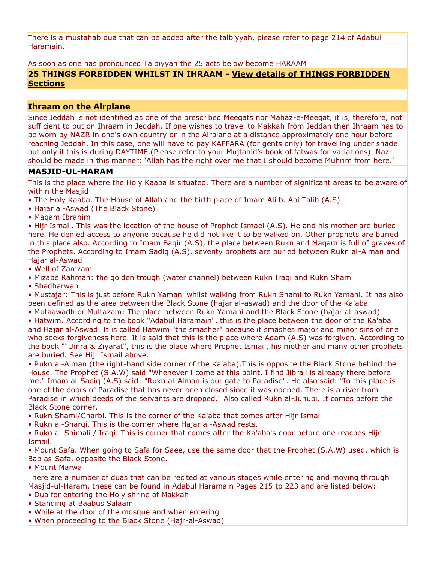There is a mustahab dua that can be added after the talbiyyah, please refer to page 214 of Adabul Haramain.

As soon as one has pronounced Talbiyyah the 25 acts below become HARAAM

## **25 THINGS FORBIDDEN WHILST IN IHRAAM - [View details of THINGS FORBIDDEN](http://www.naqvibrothers.net/niyyat.htm) [Sections](http://www.naqvibrothers.net/niyyat.htm)**

#### **Ihraam on the Airplane**

Since Jeddah is not identified as one of the prescribed Meeqats nor Mahaz-e-Meeqat, it is, therefore, not sufficient to put on Ihraam in Jeddah. If one wishes to travel to Makkah from Jeddah then Ihraam has to be worn by NAZR in one's own country or in the Airplane at a distance approximately one hour before reaching Jeddah. In this case, one will have to pay KAFFARA (for gents only) for travelling under shade but only if this is during DAYTIME. (Please refer to your Mujtahid's book of fatwas for variations). Nazr should be made in this manner: 'Allah has the right over me that I should become Muhrim from here.'

#### **MASJID-UL-HARAM**

This is the place where the Holy Kaaba is situated. There are a number of significant areas to be aware of within the Masjid

- The Holy Kaaba. The House of Allah and the birth place of Imam Ali b. Abi Talib (A.S)
- Hajar al-Aswad (The Black Stone)
- Maqam Ibrahim

• Hijr Ismail. This was the location of the house of Prophet Ismael (A.S). He and his mother are buried here. He denied access to anyone because he did not like it to be walked on. Other prophets are buried in this place also. According to Imam Baqir (A.S), the place between Rukn and Maqam is full of graves of the Prophets. According to Imam Sadiq (A.S), seventy prophets are buried between Rukn al-Aiman and Hajar al-Aswad

- Well of Zamzam
- Mizabe Rahmah: the golden trough (water channel) between Rukn Iraqi and Rukn Shami
- Shadharwan

• Mustajar: This is just before Rukn Yamani whilst walking from Rukn Shami to Rukn Yamani. It has also been defined as the area between the Black Stone (hajar al-aswad) and the door of the Ka'aba

• Mutaawadh or Multazam: The place between Rukn Yamani and the Black Stone (hajar al-aswad) • Hatwim. According to the book "Adabul Haramain", this is the place between the door of the Ka'aba and Hajar al-Aswad. It is called Hatwim "the smasher" because it smashes major and minor sins of one who seeks forgiveness here. It is said that this is the place where Adam (A.S) was forgiven. According to the book ""Umra & Ziyarat", this is the place where Prophet Ismail, his mother and many other prophets are buried. See Hijr Ismail above.

• Rukn al-Aiman (the right-hand side corner of the Ka'aba).This is opposite the Black Stone behind the House. The Prophet (S.A.W) said "Whenever I come at this point, I find Jibrail is already there before me." Imam al-Sadiq (A.S) said: "Rukn al-Aiman is our gate to Paradise". He also said: "In this place is one of the doors of Paradise that has never been closed since it was opened. There is a river from Paradise in which deeds of the servants are dropped." Also called Rukn al-Junubi. It comes before the Black Stone corner.

- Rukn Shami/Gharbi. This is the corner of the Ka'aba that comes after Hijr Ismail
- Rukn al-Sharqi. This is the corner where Hajar al-Aswad rests.

• Rukn al-Shimali / Iraqi. This is corner that comes after the Ka'aba's door before one reaches Hijr Ismail.

• Mount Safa. When going to Safa for Saee, use the same door that the Prophet (S.A.W) used, which is Bab as-Safa, opposite the Black Stone.

#### • Mount Marwa

There are a number of duas that can be recited at various stages while entering and moving through Masjid-ul-Haram, these can be found in Adabul Haramain Pages 215 to 223 and are listed below:

- Dua for entering the Holy shrine of Makkah
- Standing at Baabus Salaam
- While at the door of the mosque and when entering
- When proceeding to the Black Stone (Hajr-al-Aswad)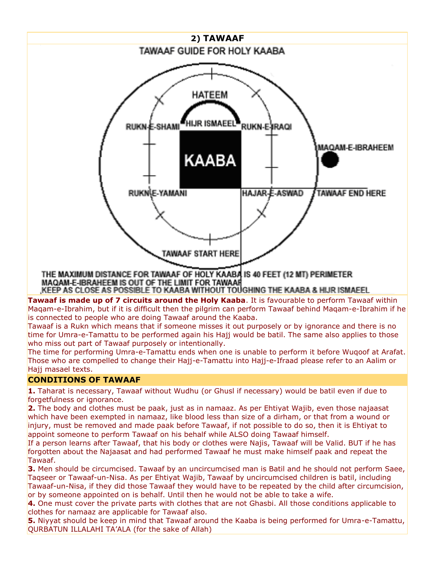

MAQAM E-IBRAHEEM IS OUT OF THE LIMIT FOR TAWAAR

KEEP AS CLOSE AS POSSIBLE TO KAABA WITHOUT TOUGHING THE KAABA & HIJR ISMAEEL.

**Tawaaf is made up of 7 circuits around the Holy Kaaba**. It is favourable to perform Tawaaf within Maqam-e-Ibrahim, but if it is difficult then the pilgrim can perform Tawaaf behind Maqam-e-Ibrahim if he is connected to people who are doing Tawaaf around the Kaaba.

Tawaaf is a Rukn which means that if someone misses it out purposely or by ignorance and there is no time for Umra-e-Tamattu to be performed again his Hajj would be batil. The same also applies to those who miss out part of Tawaaf purposely or intentionally.

The time for performing Umra-e-Tamattu ends when one is unable to perform it before Wuqoof at Arafat. Those who are compelled to change their Hajj-e-Tamattu into Hajj-e-Ifraad please refer to an Aalim or Hajj masael texts.

# **CONDITIONS OF TAWAAF**

**1.** Taharat is necessary, Tawaaf without Wudhu (or Ghusl if necessary) would be batil even if due to forgetfulness or ignorance.

**2.** The body and clothes must be paak, just as in namaaz. As per Ehtiyat Wajib, even those najaasat which have been exempted in namaaz, like blood less than size of a dirham, or that from a wound or injury, must be removed and made paak before Tawaaf, if not possible to do so, then it is Ehtiyat to appoint someone to perform Tawaaf on his behalf while ALSO doing Tawaaf himself.

If a person learns after Tawaaf, that his body or clothes were Najis, Tawaaf will be Valid. BUT if he has forgotten about the Najaasat and had performed Tawaaf he must make himself paak and repeat the Tawaaf.

**3.** Men should be circumcised. Tawaaf by an uncircumcised man is Batil and he should not perform Saee, Taqseer or Tawaaf-un-Nisa. As per Ehtiyat Wajib, Tawaaf by uncircumcised children is batil, including Tawaaf-un-Nisa, if they did those Tawaaf they would have to be repeated by the child after circumcision, or by someone appointed on is behalf. Until then he would not be able to take a wife.

**4.** One must cover the private parts with clothes that are not Ghasbi. All those conditions applicable to clothes for namaaz are applicable for Tawaaf also.

**5.** Niyyat should be keep in mind that Tawaaf around the Kaaba is being performed for Umra-e-Tamattu, QURBATUN ILLALAHI TA"ALA (for the sake of Allah)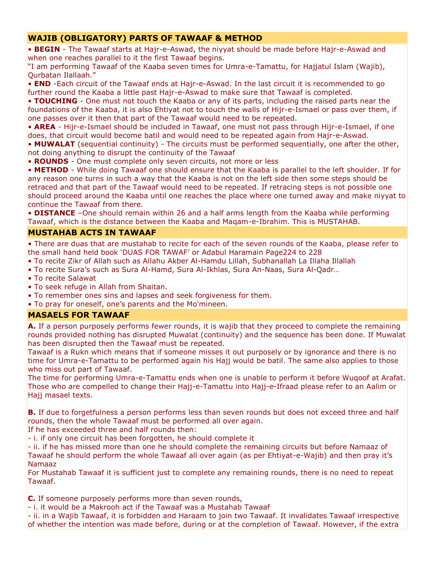## **WAJIB (OBLIGATORY) PARTS OF TAWAAF & METHOD**

• **BEGIN** - The Tawaaf starts at Hajr-e-Aswad, the niyyat should be made before Hajr-e-Aswad and when one reaches parallel to it the first Tawaaf begins.

"I am performing Tawaaf of the Kaaba seven times for Umra-e-Tamattu, for Hajjatul Islam (Wajib), Qurbatan Ilallaah."

• **END** -Each circuit of the Tawaaf ends at Hajr-e-Aswad. In the last circuit it is recommended to go further round the Kaaba a little past Hajr-e-Aswad to make sure that Tawaaf is completed.

• **TOUCHING** - One must not touch the Kaaba or any of its parts, including the raised parts near the foundations of the Kaaba, it is also Ehtiyat not to touch the walls of Hijr-e-Ismael or pass over them, if one passes over it then that part of the Tawaaf would need to be repeated.

• **AREA** - Hijr-e-Ismael should be included in Tawaaf, one must not pass through Hijr-e-Ismael, if one does, that circuit would become batil and would need to be repeated again from Hajr-e-Aswad.

• **MUWALAT** (sequential continuity) - The circuits must be performed sequentially, one after the other, not doing anything to disrupt the continuity of the Tawaaf

• **ROUNDS** - One must complete only seven circuits, not more or less

• **METHOD** - While doing Tawaaf one should ensure that the Kaaba is parallel to the left shoulder. If for any reason one turns in such a way that the Kaaba is not on the left side then some steps should be retraced and that part of the Tawaaf would need to be repeated. If retracing steps is not possible one should proceed around the Kaaba until one reaches the place where one turned away and make niyyat to continue the Tawaaf from there.

• **DISTANCE** –One should remain within 26 and a half arms length from the Kaaba while performing Tawaaf, which is the distance between the Kaaba and Maqam-e-Ibrahim. This is MUSTAHAB.

## **MUSTAHAB ACTS IN TAWAAF**

• There are duas that are mustahab to recite for each of the seven rounds of the Kaaba, please refer to the small hand held book "DUAS FOR TAWAF" or Adabul Haramain Page224 to 228

- To recite Zikr of Allah such as Allahu Akber Al-Hamdu Lillah, Subhanallah La Illaha Illallah
- To recite Sura"s such as Sura Al-Hamd, Sura Al-Ikhlas, Sura An-Naas, Sura Al-Qadr…
- To recite Salawat
- To seek refuge in Allah from Shaitan.
- To remember ones sins and lapses and seek forgiveness for them.
- To pray for oneself, one"s parents and the Mo'mineen.

## **MASAELS FOR TAWAAF**

**A.** If a person purposely performs fewer rounds, it is wajib that they proceed to complete the remaining rounds provided nothing has disrupted Muwalat (continuity) and the sequence has been done. If Muwalat has been disrupted then the Tawaaf must be repeated.

Tawaaf is a Rukn which means that if someone misses it out purposely or by ignorance and there is no time for Umra-e-Tamattu to be performed again his Hajj would be batil. The same also applies to those who miss out part of Tawaaf.

The time for performing Umra-e-Tamattu ends when one is unable to perform it before Wuqoof at Arafat. Those who are compelled to change their Hajj-e-Tamattu into Hajj-e-Ifraad please refer to an Aalim or Hajj masael texts.

**B.** If due to forgetfulness a person performs less than seven rounds but does not exceed three and half rounds, then the whole Tawaaf must be performed all over again.

If he has exceeded three and half rounds then:

- i. if only one circuit has been forgotten, he should complete it

- ii. if he has missed more than one he should complete the remaining circuits but before Namaaz of Tawaaf he should perform the whole Tawaaf all over again (as per Ehtiyat-e-Wajib) and then pray it"s Namaaz

For Mustahab Tawaaf it is sufficient just to complete any remaining rounds, there is no need to repeat Tawaaf.

**C.** If someone purposely performs more than seven rounds,

- i. it would be a Makrooh act if the Tawaaf was a Mustahab Tawaaf

- ii. in a Wajib Tawaaf, it is forbidden and Haraam to join two Tawaaf. It invalidates Tawaaf irrespective of whether the intention was made before, during or at the completion of Tawaaf. However, if the extra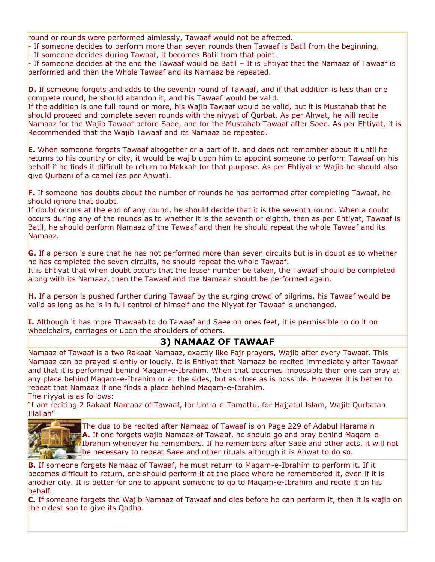round or rounds were performed aimlessly, Tawaaf would not be affected.

- If someone decides to perform more than seven rounds then Tawaaf is Batil from the beginning.

- If someone decides during Tawaaf, it becomes Batil from that point.

- If someone decides at the end the Tawaaf would be Batil – It is Ehtiyat that the Namaaz of Tawaaf is performed and then the Whole Tawaaf and its Namaaz be repeated.

**D.** If someone forgets and adds to the seventh round of Tawaaf, and if that addition is less than one complete round, he should abandon it, and his Tawaaf would be valid.

If the addition is one full round or more, his Wajib Tawaaf would be valid, but it is Mustahab that he should proceed and complete seven rounds with the niyyat of Qurbat. As per Ahwat, he will recite Namaaz for the Wajib Tawaaf before Saee, and for the Mustahab Tawaaf after Saee. As per Ehtiyat, it is Recommended that the Wajib Tawaaf and its Namaaz be repeated.

**E.** When someone forgets Tawaaf altogether or a part of it, and does not remember about it until he returns to his country or city, it would be wajib upon him to appoint someone to perform Tawaaf on his behalf if he finds it difficult to return to Makkah for that purpose. As per Ehtiyat-e-Wajib he should also give Qurbani of a camel (as per Ahwat).

**F.** If someone has doubts about the number of rounds he has performed after completing Tawaaf, he should ignore that doubt.

If doubt occurs at the end of any round, he should decide that it is the seventh round. When a doubt occurs during any of the rounds as to whether it is the seventh or eighth, then as per Ehtiyat, Tawaaf is Batil, he should perform Namaaz of the Tawaaf and then he should repeat the whole Tawaaf and its Namaaz.

**G.** If a person is sure that he has not performed more than seven circuits but is in doubt as to whether he has completed the seven circuits, he should repeat the whole Tawaaf.

It is Ehtiyat that when doubt occurs that the lesser number be taken, the Tawaaf should be completed along with its Namaaz, then the Tawaaf and the Namaaz should be performed again.

**H.** If a person is pushed further during Tawaaf by the surging crowd of pilgrims, his Tawaaf would be valid as long as he is in full control of himself and the Niyyat for Tawaaf is unchanged.

**I.** Although it has more Thawaab to do Tawaaf and Saee on ones feet, it is permissible to do it on wheelchairs, carriages or upon the shoulders of others.

## **3) NAMAAZ OF TAWAAF**

Namaaz of Tawaaf is a two Rakaat Namaaz, exactly like Fajr prayers, Wajib after every Tawaaf. This Namaaz can be prayed silently or loudly. It is Ehtiyat that Namaaz be recited immediately after Tawaaf and that it is performed behind Maqam-e-Ibrahim. When that becomes impossible then one can pray at any place behind Maqam-e-Ibrahim or at the sides, but as close as is possible. However it is better to repeat that Namaaz if one finds a place behind Maqam-e-Ibrahim.

The niyyat is as follows:

"I am reciting 2 Rakaat Namaaz of Tawaaf, for Umra-e-Tamattu, for Hajjatul Islam, Wajib Qurbatan Illallah"



The dua to be recited after Namaaz of Tawaaf is on Page 229 of Adabul Haramain **A.** If one forgets wajib Namaaz of Tawaaf, he should go and pray behind Maqam-e-Ibrahim whenever he remembers. If he remembers after Saee and other acts, it will not be necessary to repeat Saee and other rituals although it is Ahwat to do so.

**B.** If someone forgets Namaaz of Tawaaf, he must return to Maqam-e-Ibrahim to perform it. If it becomes difficult to return, one should perform it at the place where he remembered it, even if it is another city. It is better for one to appoint someone to go to Maqam-e-Ibrahim and recite it on his behalf.

**C.** If someone forgets the Wajib Namaaz of Tawaaf and dies before he can perform it, then it is wajib on the eldest son to give its Qadha.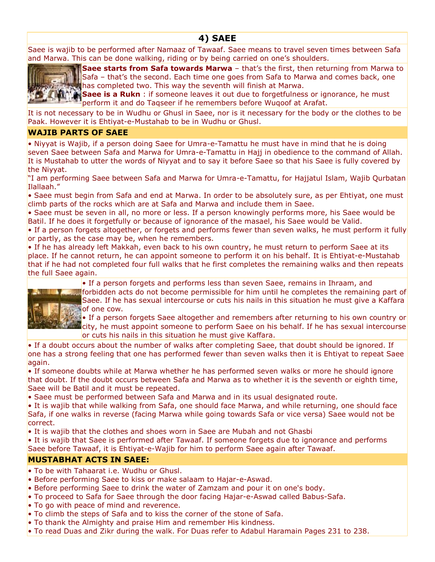# **4) SAEE**

Saee is wajib to be performed after Namaaz of Tawaaf. Saee means to travel seven times between Safa and Marwa. This can be done walking, riding or by being carried on one"s shoulders.



**Saee starts from Safa towards Marwa** - that's the first, then returning from Marwa to Safa – that's the second. Each time one goes from Safa to Marwa and comes back, one has completed two. This way the seventh will finish at Marwa.

**Saee is a Rukn**: if someone leaves it out due to forgetfulness or ignorance, he must perform it and do Taqseer if he remembers before Wuqoof at Arafat.

It is not necessary to be in Wudhu or Ghusl in Saee, nor is it necessary for the body or the clothes to be Paak. However it is Ehtiyat-e-Mustahab to be in Wudhu or Ghusl.

## **WAJIB PARTS OF SAEE**

• Niyyat is Wajib, if a person doing Saee for Umra-e-Tamattu he must have in mind that he is doing seven Saee between Safa and Marwa for Umra-e-Tamattu in Hajj in obedience to the command of Allah. It is Mustahab to utter the words of Niyyat and to say it before Saee so that his Saee is fully covered by the Niyyat.

"I am performing Saee between Safa and Marwa for Umra-e-Tamattu, for Hajjatul Islam, Wajib Qurbatan Ilallaah."

• Saee must begin from Safa and end at Marwa. In order to be absolutely sure, as per Ehtiyat, one must climb parts of the rocks which are at Safa and Marwa and include them in Saee.

• Saee must be seven in all, no more or less. If a person knowingly performs more, his Saee would be Batil. If he does it forgetfully or because of ignorance of the masael, his Saee would be Valid.

• If a person forgets altogether, or forgets and performs fewer than seven walks, he must perform it fully or partly, as the case may be, when he remembers.

• If he has already left Makkah, even back to his own country, he must return to perform Saee at its place. If he cannot return, he can appoint someone to perform it on his behalf. It is Ehtiyat-e-Mustahab that if he had not completed four full walks that he first completes the remaining walks and then repeats the full Saee again.

• If a person forgets and performs less than seven Saee, remains in Ihraam, and



forbidden acts do not become permissible for him until he completes the remaining part of Saee. If he has sexual intercourse or cuts his nails in this situation he must give a Kaffara of one cow.

• If a person forgets Saee altogether and remembers after returning to his own country or city, he must appoint someone to perform Saee on his behalf. If he has sexual intercourse or cuts his nails in this situation he must give Kaffara.

• If a doubt occurs about the number of walks after completing Saee, that doubt should be ignored. If one has a strong feeling that one has performed fewer than seven walks then it is Ehtiyat to repeat Saee again.

• If someone doubts while at Marwa whether he has performed seven walks or more he should ignore that doubt. If the doubt occurs between Safa and Marwa as to whether it is the seventh or eighth time, Saee will be Batil and it must be repeated.

• Saee must be performed between Safa and Marwa and in its usual designated route.

• It is wajib that while walking from Safa, one should face Marwa, and while returning, one should face Safa, if one walks in reverse (facing Marwa while going towards Safa or vice versa) Saee would not be correct.

• It is wajib that the clothes and shoes worn in Saee are Mubah and not Ghasbi

• It is wajib that Saee is performed after Tawaaf. If someone forgets due to ignorance and performs Saee before Tawaaf, it is Ehtiyat-e-Wajib for him to perform Saee again after Tawaaf.

## **MUSTABHAT ACTS IN SAEE:**

- To be with Tahaarat i.e. Wudhu or Ghusl.
- Before performing Saee to kiss or make salaam to Hajar-e-Aswad.
- Before performing Saee to drink the water of Zamzam and pour it on one's body.
- To proceed to Safa for Saee through the door facing Hajar-e-Aswad called Babus-Safa.
- To go with peace of mind and reverence.
- To climb the steps of Safa and to kiss the corner of the stone of Safa.
- To thank the Almighty and praise Him and remember His kindness.
- To read Duas and Zikr during the walk. For Duas refer to Adabul Haramain Pages 231 to 238.